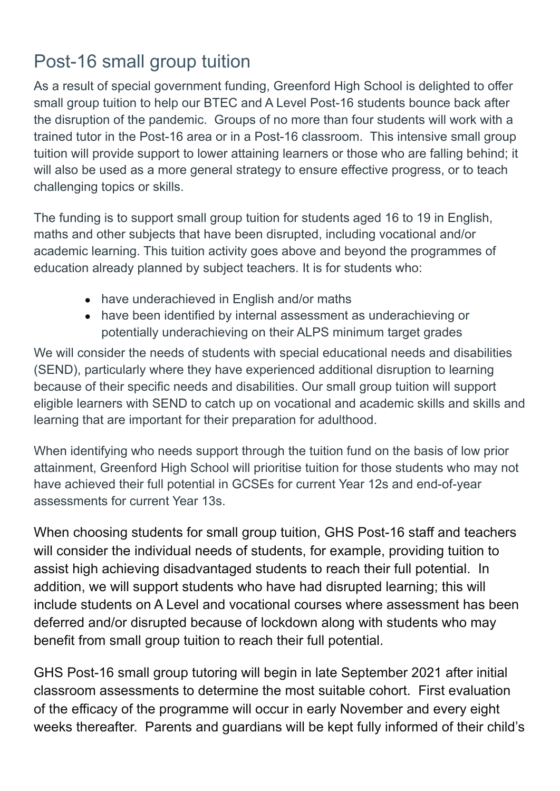## Post-16 small group tuition

As a result of special government funding, Greenford High School is delighted to offer small group tuition to help our BTEC and A Level Post-16 students bounce back after the disruption of the pandemic. Groups of no more than four students will work with a trained tutor in the Post-16 area or in a Post-16 classroom. This intensive small group tuition will provide support to lower attaining learners or those who are falling behind; it will also be used as a more general strategy to ensure effective progress, or to teach challenging topics or skills.

The funding is to support small group tuition for students aged 16 to 19 in English, maths and other subjects that have been disrupted, including vocational and/or academic learning. This tuition activity goes above and beyond the programmes of education already planned by subject teachers. It is for students who:

- have underachieved in English and/or maths
- have been identified by internal assessment as underachieving or potentially underachieving on their ALPS minimum target grades

We will consider the needs of students with special educational needs and disabilities (SEND), particularly where they have experienced additional disruption to learning because of their specific needs and disabilities. Our small group tuition will support eligible learners with SEND to catch up on vocational and academic skills and skills and learning that are important for their preparation for adulthood.

When identifying who needs support through the tuition fund on the basis of low prior attainment, Greenford High School will prioritise tuition for those students who may not have achieved their full potential in GCSEs for current Year 12s and end-of-year assessments for current Year 13s.

When choosing students for small group tuition, GHS Post-16 staff and teachers will consider the individual needs of students, for example, providing tuition to assist high achieving disadvantaged students to reach their full potential. In addition, we will support students who have had disrupted learning; this will include students on A Level and vocational courses where assessment has been deferred and/or disrupted because of lockdown along with students who may benefit from small group tuition to reach their full potential.

GHS Post-16 small group tutoring will begin in late September 2021 after initial classroom assessments to determine the most suitable cohort. First evaluation of the efficacy of the programme will occur in early November and every eight weeks thereafter. Parents and guardians will be kept fully informed of their child's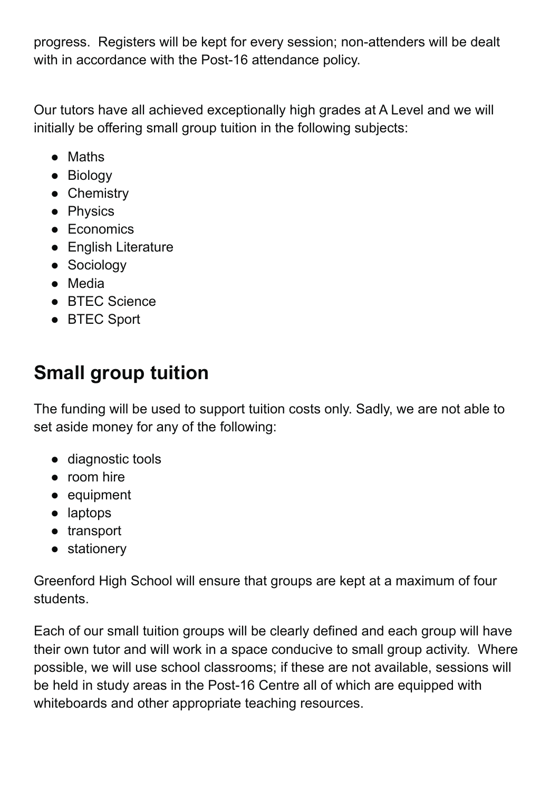progress. Registers will be kept for every session; non-attenders will be dealt with in accordance with the Post-16 attendance policy.

Our tutors have all achieved exceptionally high grades at A Level and we will initially be offering small group tuition in the following subjects:

- Maths
- Biology
- Chemistry
- Physics
- Economics
- English Literature
- Sociology
- Media
- BTEC Science
- BTEC Sport

## **Small group tuition**

The funding will be used to support tuition costs only. Sadly, we are not able to set aside money for any of the following:

- diagnostic tools
- room hire
- equipment
- laptops
- transport
- stationery

Greenford High School will ensure that groups are kept at a maximum of four students.

Each of our small tuition groups will be clearly defined and each group will have their own tutor and will work in a space conducive to small group activity. Where possible, we will use school classrooms; if these are not available, sessions will be held in study areas in the Post-16 Centre all of which are equipped with whiteboards and other appropriate teaching resources.